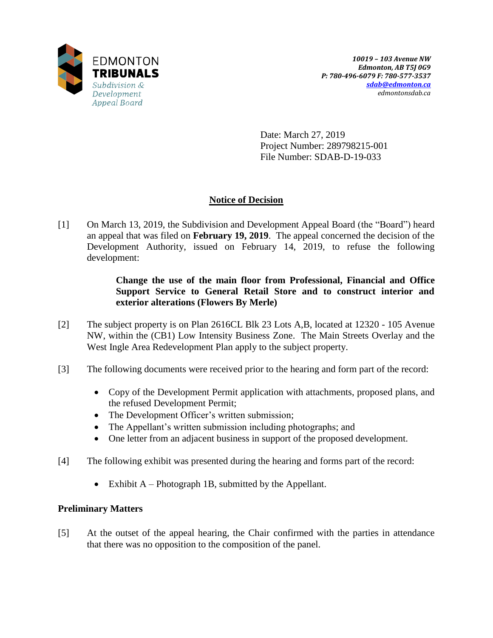

Date: March 27, 2019 Project Number: 289798215-001 File Number: SDAB-D-19-033

# **Notice of Decision**

[1] On March 13, 2019, the Subdivision and Development Appeal Board (the "Board") heard an appeal that was filed on **February 19, 2019**. The appeal concerned the decision of the Development Authority, issued on February 14, 2019, to refuse the following development:

## **Change the use of the main floor from Professional, Financial and Office Support Service to General Retail Store and to construct interior and exterior alterations (Flowers By Merle)**

- [2] The subject property is on Plan 2616CL Blk 23 Lots A,B, located at 12320 105 Avenue NW, within the (CB1) Low Intensity Business Zone. The Main Streets Overlay and the West Ingle Area Redevelopment Plan apply to the subject property.
- [3] The following documents were received prior to the hearing and form part of the record:
	- Copy of the Development Permit application with attachments, proposed plans, and the refused Development Permit;
	- The Development Officer's written submission;
	- The Appellant's written submission including photographs; and
	- One letter from an adjacent business in support of the proposed development.
- [4] The following exhibit was presented during the hearing and forms part of the record:
	- Exhibit  $A$  Photograph 1B, submitted by the Appellant.

# **Preliminary Matters**

[5] At the outset of the appeal hearing, the Chair confirmed with the parties in attendance that there was no opposition to the composition of the panel.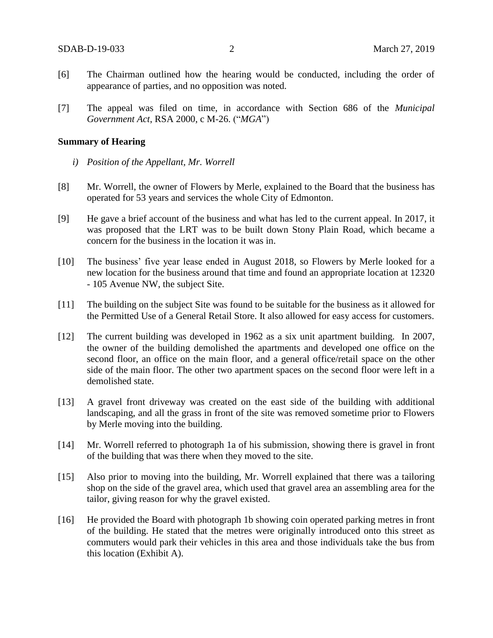- [6] The Chairman outlined how the hearing would be conducted, including the order of appearance of parties, and no opposition was noted.
- [7] The appeal was filed on time, in accordance with Section 686 of the *Municipal Government Act*, RSA 2000, c M-26. ("*MGA*")

#### **Summary of Hearing**

- *i) Position of the Appellant, Mr. Worrell*
- [8] Mr. Worrell, the owner of Flowers by Merle, explained to the Board that the business has operated for 53 years and services the whole City of Edmonton.
- [9] He gave a brief account of the business and what has led to the current appeal. In 2017, it was proposed that the LRT was to be built down Stony Plain Road, which became a concern for the business in the location it was in.
- [10] The business' five year lease ended in August 2018, so Flowers by Merle looked for a new location for the business around that time and found an appropriate location at 12320 - 105 Avenue NW, the subject Site.
- [11] The building on the subject Site was found to be suitable for the business as it allowed for the Permitted Use of a General Retail Store. It also allowed for easy access for customers.
- [12] The current building was developed in 1962 as a six unit apartment building. In 2007, the owner of the building demolished the apartments and developed one office on the second floor, an office on the main floor, and a general office/retail space on the other side of the main floor. The other two apartment spaces on the second floor were left in a demolished state.
- [13] A gravel front driveway was created on the east side of the building with additional landscaping, and all the grass in front of the site was removed sometime prior to Flowers by Merle moving into the building.
- [14] Mr. Worrell referred to photograph 1a of his submission, showing there is gravel in front of the building that was there when they moved to the site.
- [15] Also prior to moving into the building, Mr. Worrell explained that there was a tailoring shop on the side of the gravel area, which used that gravel area an assembling area for the tailor, giving reason for why the gravel existed.
- [16] He provided the Board with photograph 1b showing coin operated parking metres in front of the building. He stated that the metres were originally introduced onto this street as commuters would park their vehicles in this area and those individuals take the bus from this location (Exhibit A).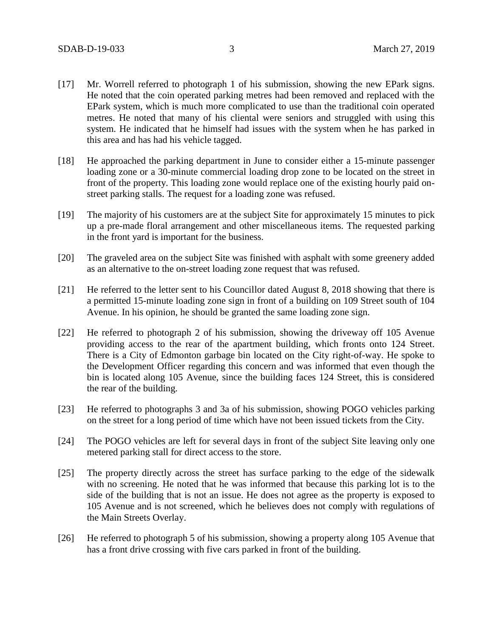- [17] Mr. Worrell referred to photograph 1 of his submission, showing the new EPark signs. He noted that the coin operated parking metres had been removed and replaced with the EPark system, which is much more complicated to use than the traditional coin operated metres. He noted that many of his cliental were seniors and struggled with using this system. He indicated that he himself had issues with the system when he has parked in this area and has had his vehicle tagged.
- [18] He approached the parking department in June to consider either a 15-minute passenger loading zone or a 30-minute commercial loading drop zone to be located on the street in front of the property. This loading zone would replace one of the existing hourly paid onstreet parking stalls. The request for a loading zone was refused.
- [19] The majority of his customers are at the subject Site for approximately 15 minutes to pick up a pre-made floral arrangement and other miscellaneous items. The requested parking in the front yard is important for the business.
- [20] The graveled area on the subject Site was finished with asphalt with some greenery added as an alternative to the on-street loading zone request that was refused.
- [21] He referred to the letter sent to his Councillor dated August 8, 2018 showing that there is a permitted 15-minute loading zone sign in front of a building on 109 Street south of 104 Avenue. In his opinion, he should be granted the same loading zone sign.
- [22] He referred to photograph 2 of his submission, showing the driveway off 105 Avenue providing access to the rear of the apartment building, which fronts onto 124 Street. There is a City of Edmonton garbage bin located on the City right-of-way. He spoke to the Development Officer regarding this concern and was informed that even though the bin is located along 105 Avenue, since the building faces 124 Street, this is considered the rear of the building.
- [23] He referred to photographs 3 and 3a of his submission, showing POGO vehicles parking on the street for a long period of time which have not been issued tickets from the City.
- [24] The POGO vehicles are left for several days in front of the subject Site leaving only one metered parking stall for direct access to the store.
- [25] The property directly across the street has surface parking to the edge of the sidewalk with no screening. He noted that he was informed that because this parking lot is to the side of the building that is not an issue. He does not agree as the property is exposed to 105 Avenue and is not screened, which he believes does not comply with regulations of the Main Streets Overlay.
- [26] He referred to photograph 5 of his submission, showing a property along 105 Avenue that has a front drive crossing with five cars parked in front of the building.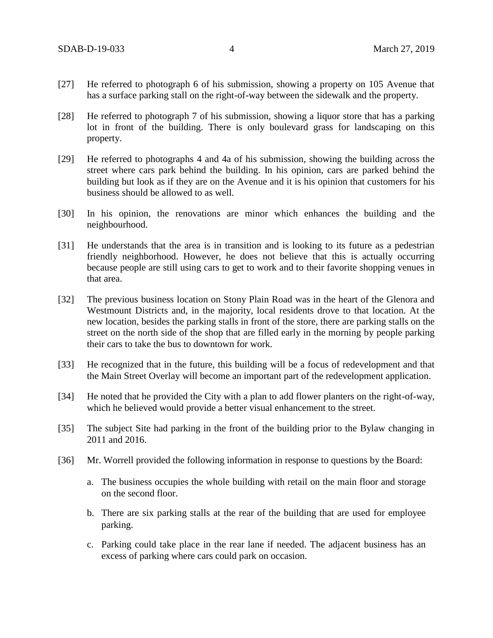- [27] He referred to photograph 6 of his submission, showing a property on 105 Avenue that has a surface parking stall on the right-of-way between the sidewalk and the property.
- [28] He referred to photograph 7 of his submission, showing a liquor store that has a parking lot in front of the building. There is only boulevard grass for landscaping on this property.
- [29] He referred to photographs 4 and 4a of his submission, showing the building across the street where cars park behind the building. In his opinion, cars are parked behind the building but look as if they are on the Avenue and it is his opinion that customers for his business should be allowed to as well.
- [30] In his opinion, the renovations are minor which enhances the building and the neighbourhood.
- [31] He understands that the area is in transition and is looking to its future as a pedestrian friendly neighborhood. However, he does not believe that this is actually occurring because people are still using cars to get to work and to their favorite shopping venues in that area.
- [32] The previous business location on Stony Plain Road was in the heart of the Glenora and Westmount Districts and, in the majority, local residents drove to that location. At the new location, besides the parking stalls in front of the store, there are parking stalls on the street on the north side of the shop that are filled early in the morning by people parking their cars to take the bus to downtown for work.
- [33] He recognized that in the future, this building will be a focus of redevelopment and that the Main Street Overlay will become an important part of the redevelopment application.
- [34] He noted that he provided the City with a plan to add flower planters on the right-of-way, which he believed would provide a better visual enhancement to the street.
- [35] The subject Site had parking in the front of the building prior to the Bylaw changing in 2011 and 2016.
- [36] Mr. Worrell provided the following information in response to questions by the Board:
	- a. The business occupies the whole building with retail on the main floor and storage on the second floor.
	- b. There are six parking stalls at the rear of the building that are used for employee parking.
	- c. Parking could take place in the rear lane if needed. The adjacent business has an excess of parking where cars could park on occasion.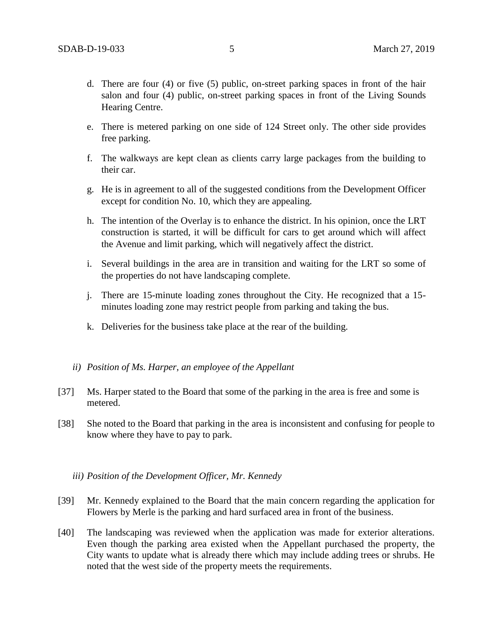- d. There are four (4) or five (5) public, on-street parking spaces in front of the hair salon and four (4) public, on-street parking spaces in front of the Living Sounds Hearing Centre.
- e. There is metered parking on one side of 124 Street only. The other side provides free parking.
- f. The walkways are kept clean as clients carry large packages from the building to their car.
- g. He is in agreement to all of the suggested conditions from the Development Officer except for condition No. 10, which they are appealing.
- h. The intention of the Overlay is to enhance the district. In his opinion, once the LRT construction is started, it will be difficult for cars to get around which will affect the Avenue and limit parking, which will negatively affect the district.
- i. Several buildings in the area are in transition and waiting for the LRT so some of the properties do not have landscaping complete.
- j. There are 15-minute loading zones throughout the City. He recognized that a 15 minutes loading zone may restrict people from parking and taking the bus.
- k. Deliveries for the business take place at the rear of the building.
- *ii) Position of Ms. Harper, an employee of the Appellant*
- [37] Ms. Harper stated to the Board that some of the parking in the area is free and some is metered.
- [38] She noted to the Board that parking in the area is inconsistent and confusing for people to know where they have to pay to park.

### *iii) Position of the Development Officer, Mr. Kennedy*

- [39] Mr. Kennedy explained to the Board that the main concern regarding the application for Flowers by Merle is the parking and hard surfaced area in front of the business.
- [40] The landscaping was reviewed when the application was made for exterior alterations. Even though the parking area existed when the Appellant purchased the property, the City wants to update what is already there which may include adding trees or shrubs. He noted that the west side of the property meets the requirements.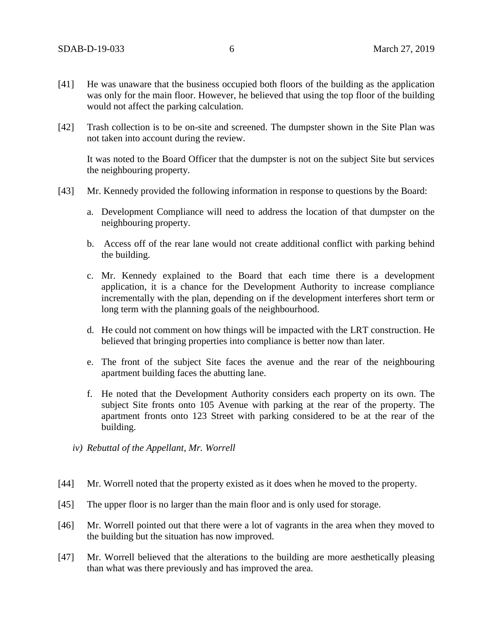- [41] He was unaware that the business occupied both floors of the building as the application was only for the main floor. However, he believed that using the top floor of the building would not affect the parking calculation.
- [42] Trash collection is to be on-site and screened. The dumpster shown in the Site Plan was not taken into account during the review.

It was noted to the Board Officer that the dumpster is not on the subject Site but services the neighbouring property.

- [43] Mr. Kennedy provided the following information in response to questions by the Board:
	- a. Development Compliance will need to address the location of that dumpster on the neighbouring property.
	- b. Access off of the rear lane would not create additional conflict with parking behind the building.
	- c. Mr. Kennedy explained to the Board that each time there is a development application, it is a chance for the Development Authority to increase compliance incrementally with the plan, depending on if the development interferes short term or long term with the planning goals of the neighbourhood.
	- d. He could not comment on how things will be impacted with the LRT construction. He believed that bringing properties into compliance is better now than later.
	- e. The front of the subject Site faces the avenue and the rear of the neighbouring apartment building faces the abutting lane.
	- f. He noted that the Development Authority considers each property on its own. The subject Site fronts onto 105 Avenue with parking at the rear of the property. The apartment fronts onto 123 Street with parking considered to be at the rear of the building.
	- *iv) Rebuttal of the Appellant, Mr. Worrell*
- [44] Mr. Worrell noted that the property existed as it does when he moved to the property.
- [45] The upper floor is no larger than the main floor and is only used for storage.
- [46] Mr. Worrell pointed out that there were a lot of vagrants in the area when they moved to the building but the situation has now improved.
- [47] Mr. Worrell believed that the alterations to the building are more aesthetically pleasing than what was there previously and has improved the area.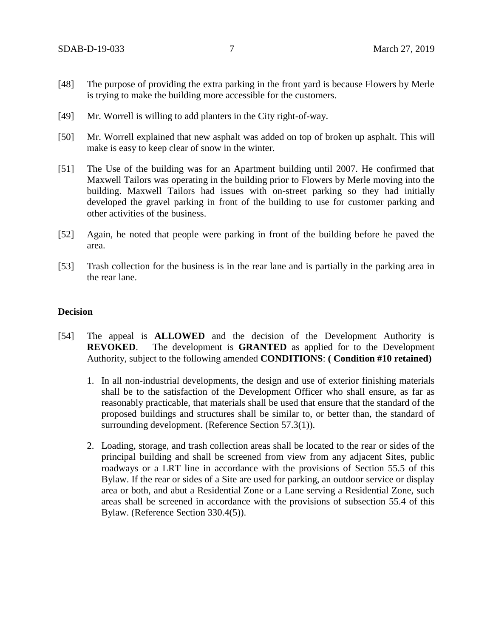- [48] The purpose of providing the extra parking in the front yard is because Flowers by Merle is trying to make the building more accessible for the customers.
- [49] Mr. Worrell is willing to add planters in the City right-of-way.
- [50] Mr. Worrell explained that new asphalt was added on top of broken up asphalt. This will make is easy to keep clear of snow in the winter.
- [51] The Use of the building was for an Apartment building until 2007. He confirmed that Maxwell Tailors was operating in the building prior to Flowers by Merle moving into the building. Maxwell Tailors had issues with on-street parking so they had initially developed the gravel parking in front of the building to use for customer parking and other activities of the business.
- [52] Again, he noted that people were parking in front of the building before he paved the area.
- [53] Trash collection for the business is in the rear lane and is partially in the parking area in the rear lane.

## **Decision**

- [54] The appeal is **ALLOWED** and the decision of the Development Authority is **REVOKED**. The development is **GRANTED** as applied for to the Development Authority, subject to the following amended **CONDITIONS**: **( Condition #10 retained)**
	- 1. In all non-industrial developments, the design and use of exterior finishing materials shall be to the satisfaction of the Development Officer who shall ensure, as far as reasonably practicable, that materials shall be used that ensure that the standard of the proposed buildings and structures shall be similar to, or better than, the standard of surrounding development. (Reference Section 57.3(1)).
	- 2. Loading, storage, and trash collection areas shall be located to the rear or sides of the principal building and shall be screened from view from any adjacent Sites, public roadways or a LRT line in accordance with the provisions of Section 55.5 of this Bylaw. If the rear or sides of a Site are used for parking, an outdoor service or display area or both, and abut a Residential Zone or a Lane serving a Residential Zone, such areas shall be screened in accordance with the provisions of subsection 55.4 of this Bylaw. (Reference Section 330.4(5)).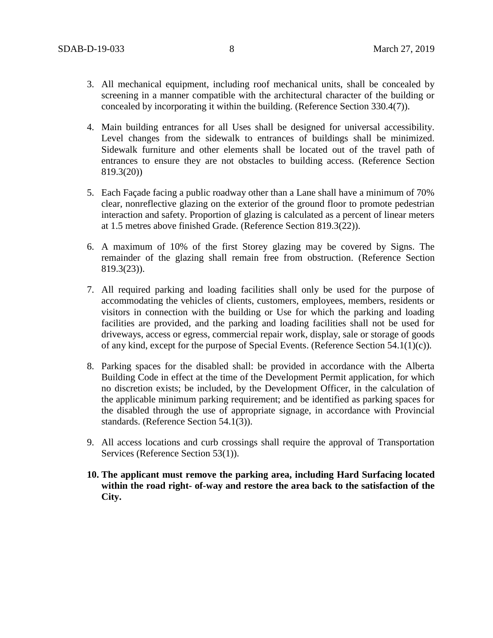- 3. All mechanical equipment, including roof mechanical units, shall be concealed by screening in a manner compatible with the architectural character of the building or concealed by incorporating it within the building. (Reference Section 330.4(7)).
- 4. Main building entrances for all Uses shall be designed for universal accessibility. Level changes from the sidewalk to entrances of buildings shall be minimized. Sidewalk furniture and other elements shall be located out of the travel path of entrances to ensure they are not obstacles to building access. (Reference Section 819.3(20))
- 5. Each Façade facing a public roadway other than a Lane shall have a minimum of 70% clear, nonreflective glazing on the exterior of the ground floor to promote pedestrian interaction and safety. Proportion of glazing is calculated as a percent of linear meters at 1.5 metres above finished Grade. (Reference Section 819.3(22)).
- 6. A maximum of 10% of the first Storey glazing may be covered by Signs. The remainder of the glazing shall remain free from obstruction. (Reference Section 819.3(23)).
- 7. All required parking and loading facilities shall only be used for the purpose of accommodating the vehicles of clients, customers, employees, members, residents or visitors in connection with the building or Use for which the parking and loading facilities are provided, and the parking and loading facilities shall not be used for driveways, access or egress, commercial repair work, display, sale or storage of goods of any kind, except for the purpose of Special Events. (Reference Section 54.1(1)(c)).
- 8. Parking spaces for the disabled shall: be provided in accordance with the Alberta Building Code in effect at the time of the Development Permit application, for which no discretion exists; be included, by the Development Officer, in the calculation of the applicable minimum parking requirement; and be identified as parking spaces for the disabled through the use of appropriate signage, in accordance with Provincial standards. (Reference Section 54.1(3)).
- 9. All access locations and curb crossings shall require the approval of Transportation Services (Reference Section 53(1)).
- **10. The applicant must remove the parking area, including Hard Surfacing located within the road right- of-way and restore the area back to the satisfaction of the City.**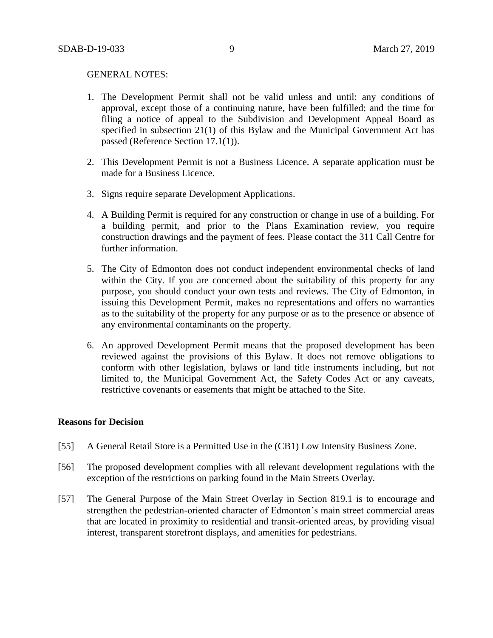#### GENERAL NOTES:

- 1. The Development Permit shall not be valid unless and until: any conditions of approval, except those of a continuing nature, have been fulfilled; and the time for filing a notice of appeal to the Subdivision and Development Appeal Board as specified in subsection 21(1) of this Bylaw and the Municipal Government Act has passed (Reference Section 17.1(1)).
- 2. This Development Permit is not a Business Licence. A separate application must be made for a Business Licence.
- 3. Signs require separate Development Applications.
- 4. A Building Permit is required for any construction or change in use of a building. For a building permit, and prior to the Plans Examination review, you require construction drawings and the payment of fees. Please contact the 311 Call Centre for further information.
- 5. The City of Edmonton does not conduct independent environmental checks of land within the City. If you are concerned about the suitability of this property for any purpose, you should conduct your own tests and reviews. The City of Edmonton, in issuing this Development Permit, makes no representations and offers no warranties as to the suitability of the property for any purpose or as to the presence or absence of any environmental contaminants on the property.
- 6. An approved Development Permit means that the proposed development has been reviewed against the provisions of this Bylaw. It does not remove obligations to conform with other legislation, bylaws or land title instruments including, but not limited to, the Municipal Government Act, the Safety Codes Act or any caveats, restrictive covenants or easements that might be attached to the Site.

### **Reasons for Decision**

- [55] A General Retail Store is a Permitted Use in the (CB1) Low Intensity Business Zone.
- [56] The proposed development complies with all relevant development regulations with the exception of the restrictions on parking found in the Main Streets Overlay.
- [57] The General Purpose of the Main Street Overlay in Section 819.1 is to encourage and strengthen the pedestrian-oriented character of Edmonton's main street commercial areas that are located in proximity to residential and transit-oriented areas, by providing visual interest, transparent storefront displays, and amenities for pedestrians.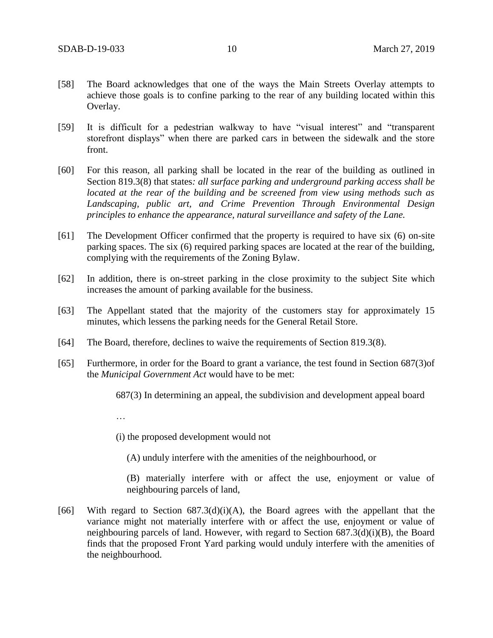- [58] The Board acknowledges that one of the ways the Main Streets Overlay attempts to achieve those goals is to confine parking to the rear of any building located within this Overlay.
- [59] It is difficult for a pedestrian walkway to have "visual interest" and "transparent storefront displays" when there are parked cars in between the sidewalk and the store front.
- [60] For this reason, all parking shall be located in the rear of the building as outlined in Section 819.3(8) that states*: all surface parking and underground parking access shall be located at the rear of the building and be screened from view using methods such as Landscaping, public art, and Crime Prevention Through Environmental Design principles to enhance the appearance, natural surveillance and safety of the Lane.*
- [61] The Development Officer confirmed that the property is required to have six (6) on-site parking spaces. The six (6) required parking spaces are located at the rear of the building, complying with the requirements of the Zoning Bylaw.
- [62] In addition, there is on-street parking in the close proximity to the subject Site which increases the amount of parking available for the business.
- [63] The Appellant stated that the majority of the customers stay for approximately 15 minutes, which lessens the parking needs for the General Retail Store.
- [64] The Board, therefore, declines to waive the requirements of Section 819.3(8).
- [65] Furthermore, in order for the Board to grant a variance, the test found in Section 687(3)of the *Municipal Government Act* would have to be met:

687(3) In determining an appeal, the subdivision and development appeal board

…

(i) the proposed development would not

(A) unduly interfere with the amenities of the neighbourhood, or

(B) materially interfere with or affect the use, enjoyment or value of neighbouring parcels of land,

[66] With regard to Section  $687.3(d)(i)(A)$ , the Board agrees with the appellant that the variance might not materially interfere with or affect the use, enjoyment or value of neighbouring parcels of land. However, with regard to Section  $687.3(d)(i)(B)$ , the Board finds that the proposed Front Yard parking would unduly interfere with the amenities of the neighbourhood.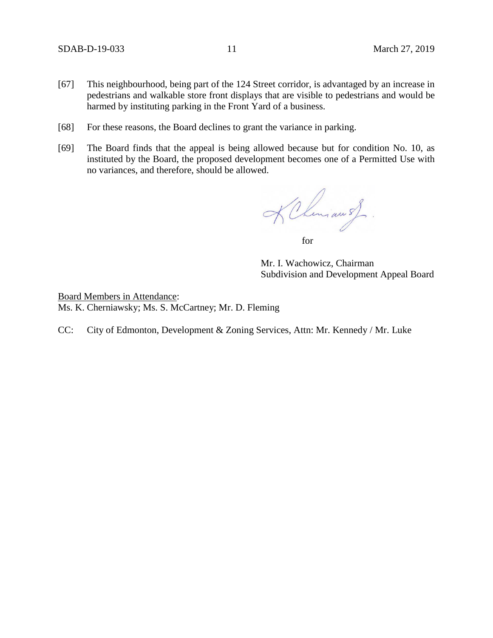- [67] This neighbourhood, being part of the 124 Street corridor, is advantaged by an increase in pedestrians and walkable store front displays that are visible to pedestrians and would be harmed by instituting parking in the Front Yard of a business.
- [68] For these reasons, the Board declines to grant the variance in parking.
- [69] The Board finds that the appeal is being allowed because but for condition No. 10, as instituted by the Board, the proposed development becomes one of a Permitted Use with no variances, and therefore, should be allowed.

KChemiau sf.

for

Mr. I. Wachowicz, Chairman Subdivision and Development Appeal Board

Board Members in Attendance: Ms. K. Cherniawsky; Ms. S. McCartney; Mr. D. Fleming

CC: City of Edmonton, Development & Zoning Services, Attn: Mr. Kennedy / Mr. Luke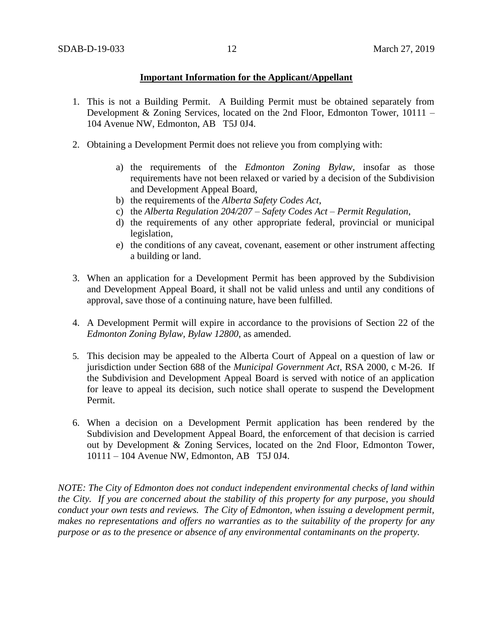## **Important Information for the Applicant/Appellant**

- 1. This is not a Building Permit. A Building Permit must be obtained separately from Development & Zoning Services, located on the 2nd Floor, Edmonton Tower, 10111 – 104 Avenue NW, Edmonton, AB T5J 0J4.
- 2. Obtaining a Development Permit does not relieve you from complying with:
	- a) the requirements of the *Edmonton Zoning Bylaw*, insofar as those requirements have not been relaxed or varied by a decision of the Subdivision and Development Appeal Board,
	- b) the requirements of the *Alberta Safety Codes Act*,
	- c) the *Alberta Regulation 204/207 – Safety Codes Act – Permit Regulation*,
	- d) the requirements of any other appropriate federal, provincial or municipal legislation,
	- e) the conditions of any caveat, covenant, easement or other instrument affecting a building or land.
- 3. When an application for a Development Permit has been approved by the Subdivision and Development Appeal Board, it shall not be valid unless and until any conditions of approval, save those of a continuing nature, have been fulfilled.
- 4. A Development Permit will expire in accordance to the provisions of Section 22 of the *Edmonton Zoning Bylaw, Bylaw 12800*, as amended.
- 5. This decision may be appealed to the Alberta Court of Appeal on a question of law or jurisdiction under Section 688 of the *Municipal Government Act*, RSA 2000, c M-26. If the Subdivision and Development Appeal Board is served with notice of an application for leave to appeal its decision, such notice shall operate to suspend the Development Permit.
- 6. When a decision on a Development Permit application has been rendered by the Subdivision and Development Appeal Board, the enforcement of that decision is carried out by Development & Zoning Services, located on the 2nd Floor, Edmonton Tower, 10111 – 104 Avenue NW, Edmonton, AB T5J 0J4.

*NOTE: The City of Edmonton does not conduct independent environmental checks of land within the City. If you are concerned about the stability of this property for any purpose, you should conduct your own tests and reviews. The City of Edmonton, when issuing a development permit, makes no representations and offers no warranties as to the suitability of the property for any purpose or as to the presence or absence of any environmental contaminants on the property.*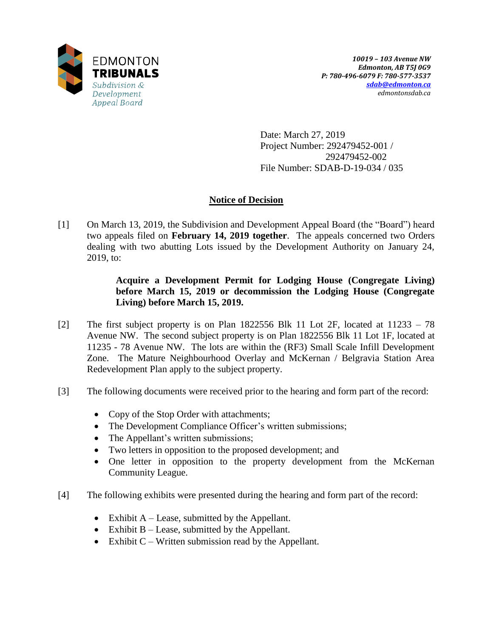

Date: March 27, 2019 Project Number: 292479452-001 / 292479452-002 File Number: SDAB-D-19-034 / 035

# **Notice of Decision**

[1] On March 13, 2019, the Subdivision and Development Appeal Board (the "Board") heard two appeals filed on **February 14, 2019 together**. The appeals concerned two Orders dealing with two abutting Lots issued by the Development Authority on January 24, 2019, to:

# **Acquire a Development Permit for Lodging House (Congregate Living) before March 15, 2019 or decommission the Lodging House (Congregate Living) before March 15, 2019.**

- [2] The first subject property is on Plan 1822556 Blk 11 Lot 2F, located at 11233 78 Avenue NW. The second subject property is on Plan 1822556 Blk 11 Lot 1F, located at 11235 - 78 Avenue NW. The lots are within the (RF3) Small Scale Infill Development Zone. The Mature Neighbourhood Overlay and McKernan / Belgravia Station Area Redevelopment Plan apply to the subject property.
- [3] The following documents were received prior to the hearing and form part of the record:
	- Copy of the Stop Order with attachments;
	- The Development Compliance Officer's written submissions;
	- The Appellant's written submissions;
	- Two letters in opposition to the proposed development; and
	- One letter in opposition to the property development from the McKernan Community League.
- [4] The following exhibits were presented during the hearing and form part of the record:
	- Exhibit  $A Lease$ , submitted by the Appellant.
	- Exhibit  $B Lease$ , submitted by the Appellant.
	- Exhibit  $C$  Written submission read by the Appellant.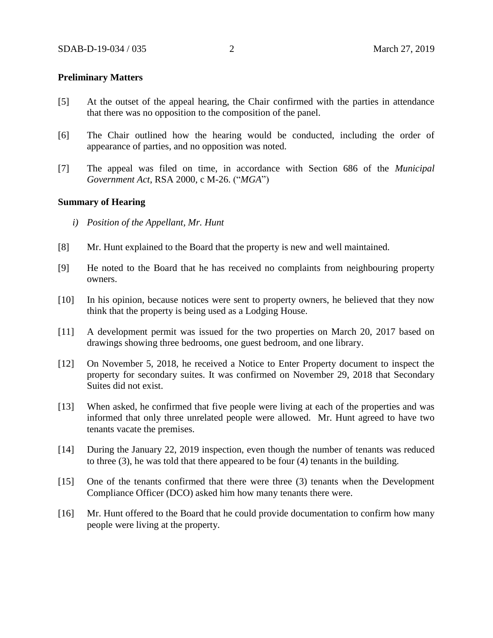### **Preliminary Matters**

- [5] At the outset of the appeal hearing, the Chair confirmed with the parties in attendance that there was no opposition to the composition of the panel.
- [6] The Chair outlined how the hearing would be conducted, including the order of appearance of parties, and no opposition was noted.
- [7] The appeal was filed on time, in accordance with Section 686 of the *Municipal Government Act*, RSA 2000, c M-26. ("*MGA*")

### **Summary of Hearing**

- *i) Position of the Appellant, Mr. Hunt*
- [8] Mr. Hunt explained to the Board that the property is new and well maintained.
- [9] He noted to the Board that he has received no complaints from neighbouring property owners.
- [10] In his opinion, because notices were sent to property owners, he believed that they now think that the property is being used as a Lodging House.
- [11] A development permit was issued for the two properties on March 20, 2017 based on drawings showing three bedrooms, one guest bedroom, and one library.
- [12] On November 5, 2018, he received a Notice to Enter Property document to inspect the property for secondary suites. It was confirmed on November 29, 2018 that Secondary Suites did not exist.
- [13] When asked, he confirmed that five people were living at each of the properties and was informed that only three unrelated people were allowed. Mr. Hunt agreed to have two tenants vacate the premises.
- [14] During the January 22, 2019 inspection, even though the number of tenants was reduced to three (3), he was told that there appeared to be four (4) tenants in the building.
- [15] One of the tenants confirmed that there were three (3) tenants when the Development Compliance Officer (DCO) asked him how many tenants there were.
- [16] Mr. Hunt offered to the Board that he could provide documentation to confirm how many people were living at the property.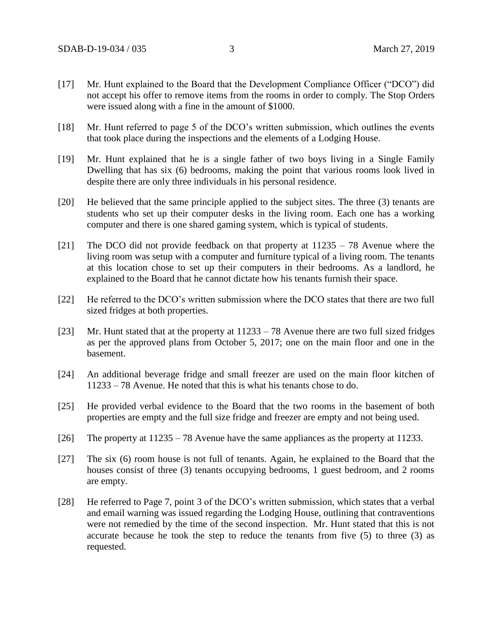- [17] Mr. Hunt explained to the Board that the Development Compliance Officer ("DCO") did not accept his offer to remove items from the rooms in order to comply. The Stop Orders were issued along with a fine in the amount of \$1000.
- [18] Mr. Hunt referred to page 5 of the DCO's written submission, which outlines the events that took place during the inspections and the elements of a Lodging House.
- [19] Mr. Hunt explained that he is a single father of two boys living in a Single Family Dwelling that has six (6) bedrooms, making the point that various rooms look lived in despite there are only three individuals in his personal residence.
- [20] He believed that the same principle applied to the subject sites. The three (3) tenants are students who set up their computer desks in the living room. Each one has a working computer and there is one shared gaming system, which is typical of students.
- [21] The DCO did not provide feedback on that property at 11235 78 Avenue where the living room was setup with a computer and furniture typical of a living room. The tenants at this location chose to set up their computers in their bedrooms. As a landlord, he explained to the Board that he cannot dictate how his tenants furnish their space.
- [22] He referred to the DCO's written submission where the DCO states that there are two full sized fridges at both properties.
- [23] Mr. Hunt stated that at the property at 11233 78 Avenue there are two full sized fridges as per the approved plans from October 5, 2017; one on the main floor and one in the basement.
- [24] An additional beverage fridge and small freezer are used on the main floor kitchen of 11233 – 78 Avenue. He noted that this is what his tenants chose to do.
- [25] He provided verbal evidence to the Board that the two rooms in the basement of both properties are empty and the full size fridge and freezer are empty and not being used.
- [26] The property at 11235 78 Avenue have the same appliances as the property at 11233.
- [27] The six (6) room house is not full of tenants. Again, he explained to the Board that the houses consist of three (3) tenants occupying bedrooms, 1 guest bedroom, and 2 rooms are empty.
- [28] He referred to Page 7, point 3 of the DCO's written submission, which states that a verbal and email warning was issued regarding the Lodging House, outlining that contraventions were not remedied by the time of the second inspection. Mr. Hunt stated that this is not accurate because he took the step to reduce the tenants from five (5) to three (3) as requested.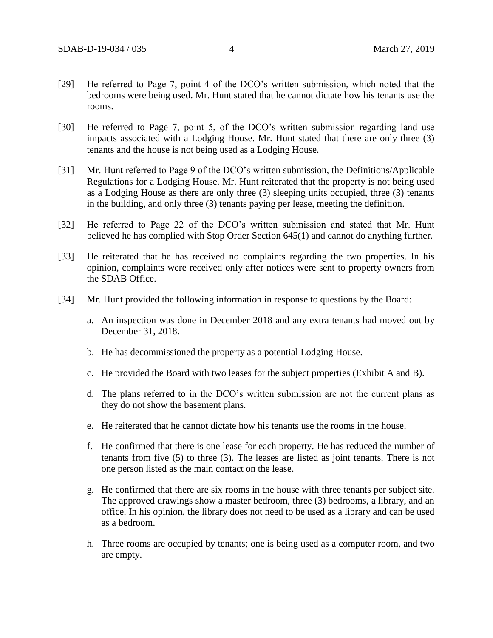- [29] He referred to Page 7, point 4 of the DCO's written submission, which noted that the bedrooms were being used. Mr. Hunt stated that he cannot dictate how his tenants use the rooms.
- [30] He referred to Page 7, point 5, of the DCO's written submission regarding land use impacts associated with a Lodging House. Mr. Hunt stated that there are only three (3) tenants and the house is not being used as a Lodging House.
- [31] Mr. Hunt referred to Page 9 of the DCO's written submission, the Definitions/Applicable Regulations for a Lodging House. Mr. Hunt reiterated that the property is not being used as a Lodging House as there are only three (3) sleeping units occupied, three (3) tenants in the building, and only three (3) tenants paying per lease, meeting the definition.
- [32] He referred to Page 22 of the DCO's written submission and stated that Mr. Hunt believed he has complied with Stop Order Section 645(1) and cannot do anything further.
- [33] He reiterated that he has received no complaints regarding the two properties. In his opinion, complaints were received only after notices were sent to property owners from the SDAB Office.
- [34] Mr. Hunt provided the following information in response to questions by the Board:
	- a. An inspection was done in December 2018 and any extra tenants had moved out by December 31, 2018.
	- b. He has decommissioned the property as a potential Lodging House.
	- c. He provided the Board with two leases for the subject properties (Exhibit A and B).
	- d. The plans referred to in the DCO's written submission are not the current plans as they do not show the basement plans.
	- e. He reiterated that he cannot dictate how his tenants use the rooms in the house.
	- f. He confirmed that there is one lease for each property. He has reduced the number of tenants from five (5) to three (3). The leases are listed as joint tenants. There is not one person listed as the main contact on the lease.
	- g. He confirmed that there are six rooms in the house with three tenants per subject site. The approved drawings show a master bedroom, three (3) bedrooms, a library, and an office. In his opinion, the library does not need to be used as a library and can be used as a bedroom.
	- h. Three rooms are occupied by tenants; one is being used as a computer room, and two are empty.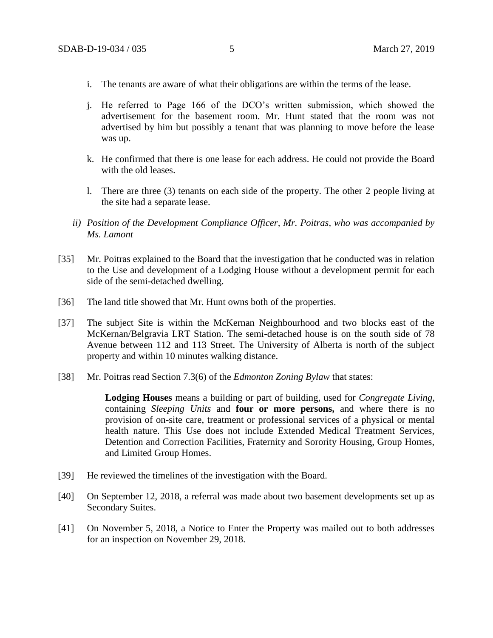- i. The tenants are aware of what their obligations are within the terms of the lease.
- j. He referred to Page 166 of the DCO's written submission, which showed the advertisement for the basement room. Mr. Hunt stated that the room was not advertised by him but possibly a tenant that was planning to move before the lease was up.
- k. He confirmed that there is one lease for each address. He could not provide the Board with the old leases.
- l. There are three (3) tenants on each side of the property. The other 2 people living at the site had a separate lease.
- *ii) Position of the Development Compliance Officer, Mr. Poitras, who was accompanied by Ms. Lamont*
- [35] Mr. Poitras explained to the Board that the investigation that he conducted was in relation to the Use and development of a Lodging House without a development permit for each side of the semi-detached dwelling.
- [36] The land title showed that Mr. Hunt owns both of the properties.
- [37] The subject Site is within the McKernan Neighbourhood and two blocks east of the McKernan/Belgravia LRT Station. The semi-detached house is on the south side of 78 Avenue between 112 and 113 Street. The University of Alberta is north of the subject property and within 10 minutes walking distance.
- [38] Mr. Poitras read Section 7.3(6) of the *Edmonton Zoning Bylaw* that states:

**Lodging Houses** means a building or part of building, used for *Congregate Living,*  containing *Sleeping Units* and **four or more persons,** and where there is no provision of on-site care, treatment or professional services of a physical or mental health nature. This Use does not include Extended Medical Treatment Services, Detention and Correction Facilities, Fraternity and Sorority Housing, Group Homes, and Limited Group Homes.

- [39] He reviewed the timelines of the investigation with the Board.
- [40] On September 12, 2018, a referral was made about two basement developments set up as Secondary Suites.
- [41] On November 5, 2018, a Notice to Enter the Property was mailed out to both addresses for an inspection on November 29, 2018.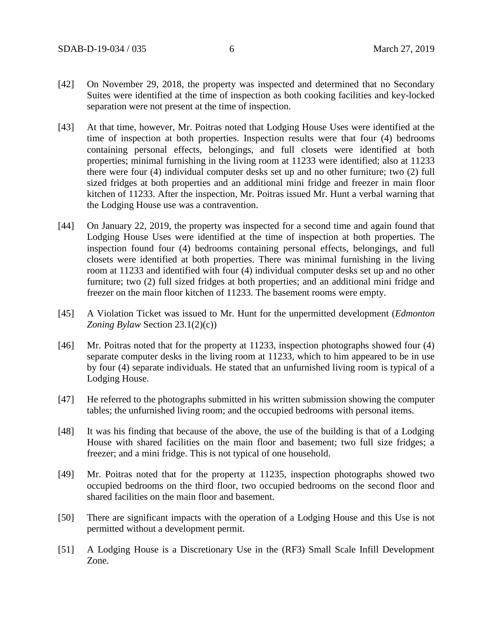- [42] On November 29, 2018, the property was inspected and determined that no Secondary Suites were identified at the time of inspection as both cooking facilities and key-locked separation were not present at the time of inspection.
- [43] At that time, however, Mr. Poitras noted that Lodging House Uses were identified at the time of inspection at both properties. Inspection results were that four (4) bedrooms containing personal effects, belongings, and full closets were identified at both properties; minimal furnishing in the living room at 11233 were identified; also at 11233 there were four (4) individual computer desks set up and no other furniture; two (2) full sized fridges at both properties and an additional mini fridge and freezer in main floor kitchen of 11233. After the inspection, Mr. Poitras issued Mr. Hunt a verbal warning that the Lodging House use was a contravention.
- [44] On January 22, 2019, the property was inspected for a second time and again found that Lodging House Uses were identified at the time of inspection at both properties. The inspection found four (4) bedrooms containing personal effects, belongings, and full closets were identified at both properties. There was minimal furnishing in the living room at 11233 and identified with four (4) individual computer desks set up and no other furniture; two (2) full sized fridges at both properties; and an additional mini fridge and freezer on the main floor kitchen of 11233. The basement rooms were empty.
- [45] A Violation Ticket was issued to Mr. Hunt for the unpermitted development (*Edmonton Zoning Bylaw* Section 23.1(2)(c))
- [46] Mr. Poitras noted that for the property at 11233, inspection photographs showed four (4) separate computer desks in the living room at 11233, which to him appeared to be in use by four (4) separate individuals. He stated that an unfurnished living room is typical of a Lodging House.
- [47] He referred to the photographs submitted in his written submission showing the computer tables; the unfurnished living room; and the occupied bedrooms with personal items.
- [48] It was his finding that because of the above, the use of the building is that of a Lodging House with shared facilities on the main floor and basement; two full size fridges; a freezer; and a mini fridge. This is not typical of one household.
- [49] Mr. Poitras noted that for the property at 11235, inspection photographs showed two occupied bedrooms on the third floor, two occupied bedrooms on the second floor and shared facilities on the main floor and basement.
- [50] There are significant impacts with the operation of a Lodging House and this Use is not permitted without a development permit.
- [51] A Lodging House is a Discretionary Use in the (RF3) Small Scale Infill Development Zone.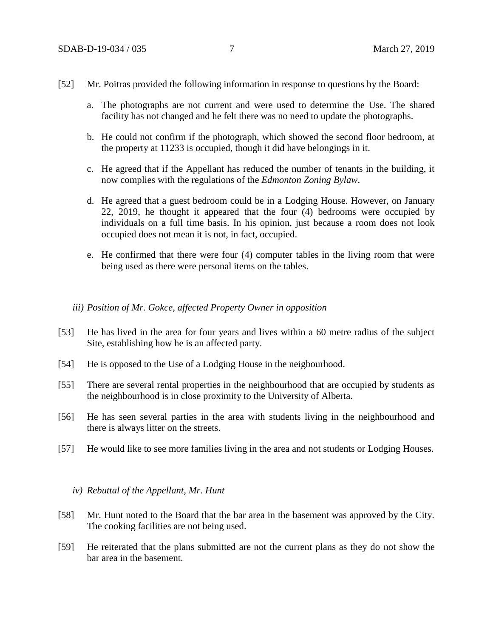- [52] Mr. Poitras provided the following information in response to questions by the Board:
	- a. The photographs are not current and were used to determine the Use. The shared facility has not changed and he felt there was no need to update the photographs.
	- b. He could not confirm if the photograph, which showed the second floor bedroom, at the property at 11233 is occupied, though it did have belongings in it.
	- c. He agreed that if the Appellant has reduced the number of tenants in the building, it now complies with the regulations of the *Edmonton Zoning Bylaw*.
	- d. He agreed that a guest bedroom could be in a Lodging House. However, on January 22, 2019, he thought it appeared that the four (4) bedrooms were occupied by individuals on a full time basis. In his opinion, just because a room does not look occupied does not mean it is not, in fact, occupied.
	- e. He confirmed that there were four (4) computer tables in the living room that were being used as there were personal items on the tables.

### *iii) Position of Mr. Gokce, affected Property Owner in opposition*

- [53] He has lived in the area for four years and lives within a 60 metre radius of the subject Site, establishing how he is an affected party.
- [54] He is opposed to the Use of a Lodging House in the neigbourhood.
- [55] There are several rental properties in the neighbourhood that are occupied by students as the neighbourhood is in close proximity to the University of Alberta.
- [56] He has seen several parties in the area with students living in the neighbourhood and there is always litter on the streets.
- [57] He would like to see more families living in the area and not students or Lodging Houses.

#### *iv) Rebuttal of the Appellant, Mr. Hunt*

- [58] Mr. Hunt noted to the Board that the bar area in the basement was approved by the City. The cooking facilities are not being used.
- [59] He reiterated that the plans submitted are not the current plans as they do not show the bar area in the basement.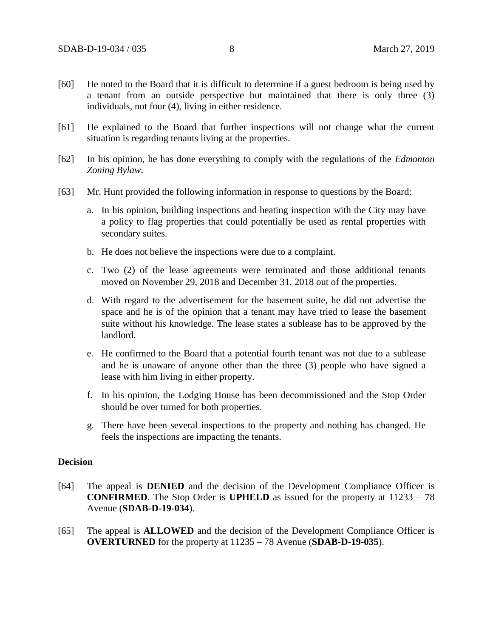- [60] He noted to the Board that it is difficult to determine if a guest bedroom is being used by a tenant from an outside perspective but maintained that there is only three (3) individuals, not four (4), living in either residence.
- [61] He explained to the Board that further inspections will not change what the current situation is regarding tenants living at the properties.
- [62] In his opinion, he has done everything to comply with the regulations of the *Edmonton Zoning Bylaw*.
- [63] Mr. Hunt provided the following information in response to questions by the Board:
	- a. In his opinion, building inspections and heating inspection with the City may have a policy to flag properties that could potentially be used as rental properties with secondary suites.
	- b. He does not believe the inspections were due to a complaint.
	- c. Two (2) of the lease agreements were terminated and those additional tenants moved on November 29, 2018 and December 31, 2018 out of the properties.
	- d. With regard to the advertisement for the basement suite, he did not advertise the space and he is of the opinion that a tenant may have tried to lease the basement suite without his knowledge. The lease states a sublease has to be approved by the landlord.
	- e. He confirmed to the Board that a potential fourth tenant was not due to a sublease and he is unaware of anyone other than the three (3) people who have signed a lease with him living in either property.
	- f. In his opinion, the Lodging House has been decommissioned and the Stop Order should be over turned for both properties.
	- g. There have been several inspections to the property and nothing has changed. He feels the inspections are impacting the tenants.

### **Decision**

- [64] The appeal is **DENIED** and the decision of the Development Compliance Officer is **CONFIRMED**. The Stop Order is **UPHELD** as issued for the property at 11233 – 78 Avenue (**SDAB-D-19-034**).
- [65] The appeal is **ALLOWED** and the decision of the Development Compliance Officer is **OVERTURNED** for the property at 11235 – 78 Avenue (**SDAB-D-19-035**).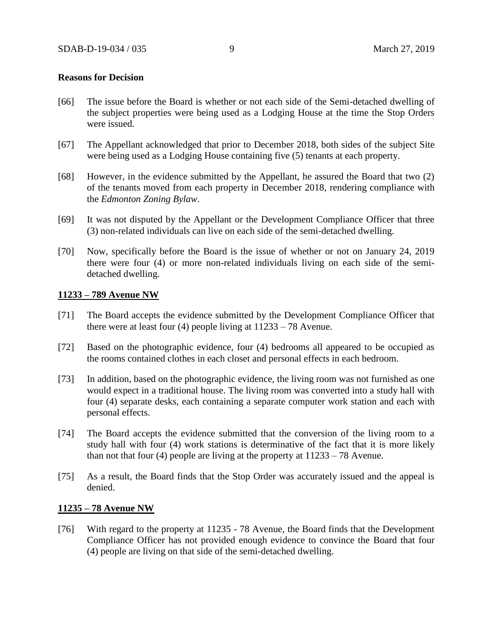### **Reasons for Decision**

- [66] The issue before the Board is whether or not each side of the Semi-detached dwelling of the subject properties were being used as a Lodging House at the time the Stop Orders were issued.
- [67] The Appellant acknowledged that prior to December 2018, both sides of the subject Site were being used as a Lodging House containing five (5) tenants at each property.
- [68] However, in the evidence submitted by the Appellant, he assured the Board that two (2) of the tenants moved from each property in December 2018, rendering compliance with the *Edmonton Zoning Bylaw*.
- [69] It was not disputed by the Appellant or the Development Compliance Officer that three (3) non-related individuals can live on each side of the semi-detached dwelling.
- [70] Now, specifically before the Board is the issue of whether or not on January 24, 2019 there were four (4) or more non-related individuals living on each side of the semidetached dwelling.

### **11233 – 789 Avenue NW**

- [71] The Board accepts the evidence submitted by the Development Compliance Officer that there were at least four (4) people living at 11233 – 78 Avenue.
- [72] Based on the photographic evidence, four (4) bedrooms all appeared to be occupied as the rooms contained clothes in each closet and personal effects in each bedroom.
- [73] In addition, based on the photographic evidence, the living room was not furnished as one would expect in a traditional house. The living room was converted into a study hall with four (4) separate desks, each containing a separate computer work station and each with personal effects.
- [74] The Board accepts the evidence submitted that the conversion of the living room to a study hall with four (4) work stations is determinative of the fact that it is more likely than not that four (4) people are living at the property at  $11233 - 78$  Avenue.
- [75] As a result, the Board finds that the Stop Order was accurately issued and the appeal is denied.

#### **11235 – 78 Avenue NW**

[76] With regard to the property at 11235 - 78 Avenue, the Board finds that the Development Compliance Officer has not provided enough evidence to convince the Board that four (4) people are living on that side of the semi-detached dwelling.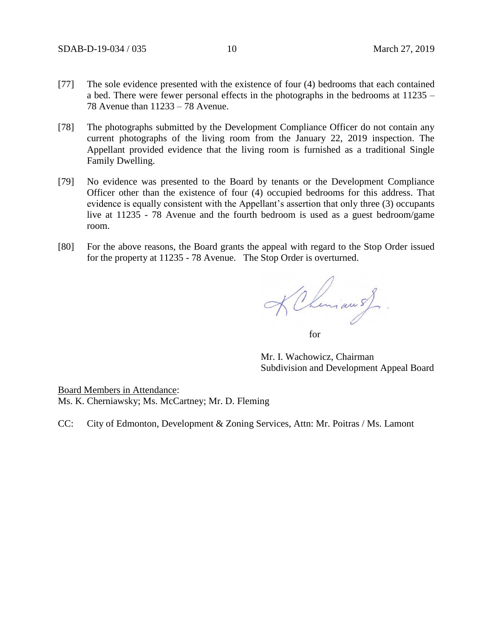- [77] The sole evidence presented with the existence of four (4) bedrooms that each contained a bed. There were fewer personal effects in the photographs in the bedrooms at 11235 – 78 Avenue than 11233 – 78 Avenue.
- [78] The photographs submitted by the Development Compliance Officer do not contain any current photographs of the living room from the January 22, 2019 inspection. The Appellant provided evidence that the living room is furnished as a traditional Single Family Dwelling.
- [79] No evidence was presented to the Board by tenants or the Development Compliance Officer other than the existence of four (4) occupied bedrooms for this address. That evidence is equally consistent with the Appellant's assertion that only three (3) occupants live at 11235 - 78 Avenue and the fourth bedroom is used as a guest bedroom/game room.
- [80] For the above reasons, the Board grants the appeal with regard to the Stop Order issued for the property at 11235 - 78 Avenue. The Stop Order is overturned.

KChemian of for

Mr. I. Wachowicz, Chairman Subdivision and Development Appeal Board

Board Members in Attendance: Ms. K. Cherniawsky; Ms. McCartney; Mr. D. Fleming

CC: City of Edmonton, Development & Zoning Services, Attn: Mr. Poitras / Ms. Lamont